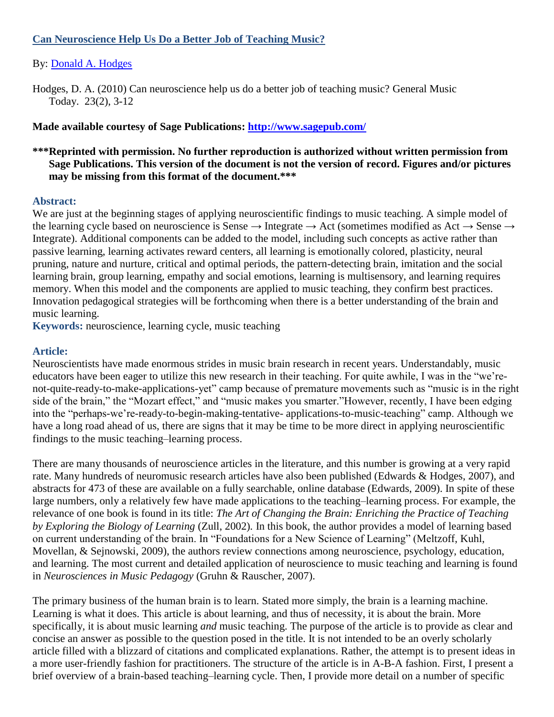### **Can Neuroscience Help Us Do a Better Job of Teaching Music?**

## By: [Donald A. Hodges](http://libres.uncg.edu/ir/uncg/clist.aspx?id=2915)

**Made available courtesy of Sage Publications:<http://www.sagepub.com/>**

## **\*\*\*Reprinted with permission. No further reproduction is authorized without written permission from Sage Publications. This version of the document is not the version of record. Figures and/or pictures may be missing from this format of the document.\*\*\***

### **Abstract:**

We are just at the beginning stages of applying neuroscientific findings to music teaching. A simple model of the learning cycle based on neuroscience is Sense  $\rightarrow$  Integrate  $\rightarrow$  Act (sometimes modified as Act  $\rightarrow$  Sense  $\rightarrow$ Integrate). Additional components can be added to the model, including such concepts as active rather than passive learning, learning activates reward centers, all learning is emotionally colored, plasticity, neural pruning, nature and nurture, critical and optimal periods, the pattern-detecting brain, imitation and the social learning brain, group learning, empathy and social emotions, learning is multisensory, and learning requires memory. When this model and the components are applied to music teaching, they confirm best practices. Innovation pedagogical strategies will be forthcoming when there is a better understanding of the brain and music learning.

**Keywords:** neuroscience, learning cycle, music teaching

### **Article:**

Neuroscientists have made enormous strides in music brain research in recent years. Understandably, music educators have been eager to utilize this new research in their teaching. For quite awhile, I was in the "we'renot-quite-ready-to-make-applications-yet" camp because of premature movements such as "music is in the right side of the brain," the "Mozart effect," and "music makes you smarter."However, recently, I have been edging into the "perhaps-we're-ready-to-begin-making-tentative- applications-to-music-teaching" camp. Although we have a long road ahead of us, there are signs that it may be time to be more direct in applying neuroscientific findings to the music teaching–learning process.

There are many thousands of neuroscience articles in the literature, and this number is growing at a very rapid rate. Many hundreds of neuromusic research articles have also been published (Edwards & Hodges, 2007), and abstracts for 473 of these are available on a fully searchable, online database (Edwards, 2009). In spite of these large numbers, only a relatively few have made applications to the teaching–learning process. For example, the relevance of one book is found in its title: *The Art of Changing the Brain: Enriching the Practice of Teaching by Exploring the Biology of Learning* (Zull, 2002)*.* In this book, the author provides a model of learning based on current understanding of the brain. In "Foundations for a New Science of Learning" (Meltzoff, Kuhl, Movellan, & Sejnowski, 2009), the authors review connections among neuroscience, psychology, education, and learning. The most current and detailed application of neuroscience to music teaching and learning is found in *Neurosciences in Music Pedagogy* (Gruhn & Rauscher, 2007).

The primary business of the human brain is to learn. Stated more simply, the brain is a learning machine. Learning is what it does. This article is about learning, and thus of necessity, it is about the brain. More specifically, it is about music learning *and* music teaching. The purpose of the article is to provide as clear and concise an answer as possible to the question posed in the title. It is not intended to be an overly scholarly article filled with a blizzard of citations and complicated explanations. Rather, the attempt is to present ideas in a more user-friendly fashion for practitioners. The structure of the article is in A-B-A fashion. First, I present a brief overview of a brain-based teaching–learning cycle. Then, I provide more detail on a number of specific

Hodges, D. A. (2010) Can neuroscience help us do a better job of teaching music? General Music Today. 23(2), 3-12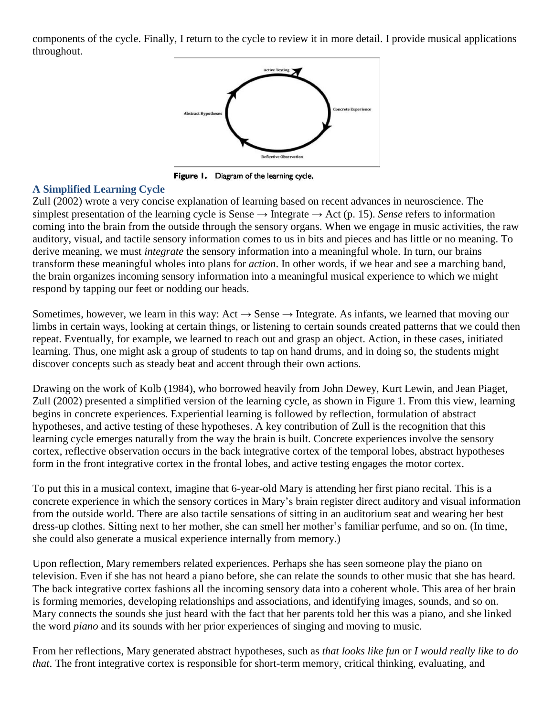components of the cycle. Finally, I return to the cycle to review it in more detail. I provide musical applications throughout.



Figure 1. Diagram of the learning cycle.

## **A Simplified Learning Cycle**

Zull (2002) wrote a very concise explanation of learning based on recent advances in neuroscience. The simplest presentation of the learning cycle is Sense → Integrate → Act (p. 15). *Sense* refers to information coming into the brain from the outside through the sensory organs. When we engage in music activities, the raw auditory, visual, and tactile sensory information comes to us in bits and pieces and has little or no meaning. To derive meaning, we must *integrate* the sensory information into a meaningful whole. In turn, our brains transform these meaningful wholes into plans for *action*. In other words, if we hear and see a marching band, the brain organizes incoming sensory information into a meaningful musical experience to which we might respond by tapping our feet or nodding our heads.

Sometimes, however, we learn in this way: Act  $\rightarrow$  Sense  $\rightarrow$  Integrate. As infants, we learned that moving our limbs in certain ways, looking at certain things, or listening to certain sounds created patterns that we could then repeat. Eventually, for example, we learned to reach out and grasp an object. Action, in these cases, initiated learning. Thus, one might ask a group of students to tap on hand drums, and in doing so, the students might discover concepts such as steady beat and accent through their own actions.

Drawing on the work of Kolb (1984), who borrowed heavily from John Dewey, Kurt Lewin, and Jean Piaget, Zull (2002) presented a simplified version of the learning cycle, as shown in Figure 1. From this view, learning begins in concrete experiences. Experiential learning is followed by reflection, formulation of abstract hypotheses, and active testing of these hypotheses. A key contribution of Zull is the recognition that this learning cycle emerges naturally from the way the brain is built. Concrete experiences involve the sensory cortex, reflective observation occurs in the back integrative cortex of the temporal lobes, abstract hypotheses form in the front integrative cortex in the frontal lobes, and active testing engages the motor cortex.

To put this in a musical context, imagine that 6-year-old Mary is attending her first piano recital. This is a concrete experience in which the sensory cortices in Mary's brain register direct auditory and visual information from the outside world. There are also tactile sensations of sitting in an auditorium seat and wearing her best dress-up clothes. Sitting next to her mother, she can smell her mother's familiar perfume, and so on. (In time, she could also generate a musical experience internally from memory.)

Upon reflection, Mary remembers related experiences. Perhaps she has seen someone play the piano on television. Even if she has not heard a piano before, she can relate the sounds to other music that she has heard. The back integrative cortex fashions all the incoming sensory data into a coherent whole. This area of her brain is forming memories, developing relationships and associations, and identifying images, sounds, and so on. Mary connects the sounds she just heard with the fact that her parents told her this was a piano, and she linked the word *piano* and its sounds with her prior experiences of singing and moving to music.

From her reflections, Mary generated abstract hypotheses, such as *that looks like fun* or *I would really like to do that*. The front integrative cortex is responsible for short-term memory, critical thinking, evaluating, and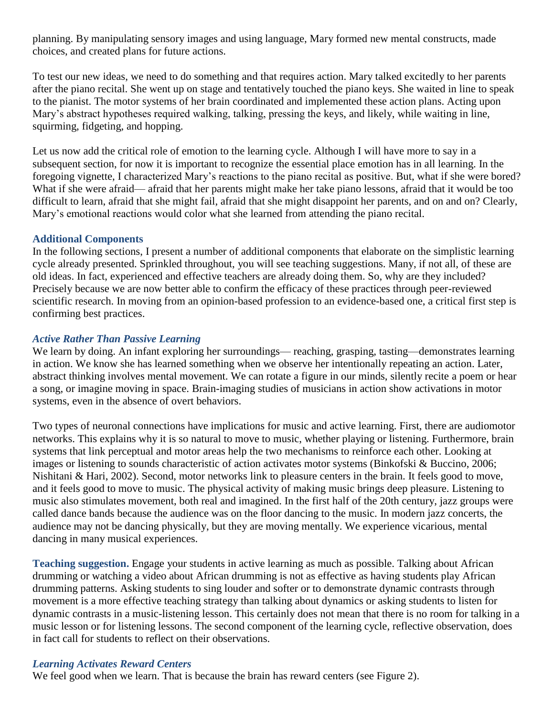planning. By manipulating sensory images and using language, Mary formed new mental constructs, made choices, and created plans for future actions.

To test our new ideas, we need to do something and that requires action. Mary talked excitedly to her parents after the piano recital. She went up on stage and tentatively touched the piano keys. She waited in line to speak to the pianist. The motor systems of her brain coordinated and implemented these action plans. Acting upon Mary's abstract hypotheses required walking, talking, pressing the keys, and likely, while waiting in line, squirming, fidgeting, and hopping.

Let us now add the critical role of emotion to the learning cycle. Although I will have more to say in a subsequent section, for now it is important to recognize the essential place emotion has in all learning. In the foregoing vignette, I characterized Mary's reactions to the piano recital as positive. But, what if she were bored? What if she were afraid— afraid that her parents might make her take piano lessons, afraid that it would be too difficult to learn, afraid that she might fail, afraid that she might disappoint her parents, and on and on? Clearly, Mary's emotional reactions would color what she learned from attending the piano recital.

### **Additional Components**

In the following sections, I present a number of additional components that elaborate on the simplistic learning cycle already presented. Sprinkled throughout, you will see teaching suggestions. Many, if not all, of these are old ideas. In fact, experienced and effective teachers are already doing them. So, why are they included? Precisely because we are now better able to confirm the efficacy of these practices through peer-reviewed scientific research. In moving from an opinion-based profession to an evidence-based one, a critical first step is confirming best practices.

### *Active Rather Than Passive Learning*

We learn by doing. An infant exploring her surroundings— reaching, grasping, tasting—demonstrates learning in action. We know she has learned something when we observe her intentionally repeating an action. Later, abstract thinking involves mental movement. We can rotate a figure in our minds, silently recite a poem or hear a song, or imagine moving in space. Brain-imaging studies of musicians in action show activations in motor systems, even in the absence of overt behaviors.

Two types of neuronal connections have implications for music and active learning. First, there are audiomotor networks. This explains why it is so natural to move to music, whether playing or listening. Furthermore, brain systems that link perceptual and motor areas help the two mechanisms to reinforce each other. Looking at images or listening to sounds characteristic of action activates motor systems (Binkofski & Buccino, 2006; Nishitani & Hari, 2002). Second, motor networks link to pleasure centers in the brain. It feels good to move, and it feels good to move to music. The physical activity of making music brings deep pleasure. Listening to music also stimulates movement, both real and imagined. In the first half of the 20th century, jazz groups were called dance bands because the audience was on the floor dancing to the music. In modern jazz concerts, the audience may not be dancing physically, but they are moving mentally. We experience vicarious, mental dancing in many musical experiences.

**Teaching suggestion.** Engage your students in active learning as much as possible. Talking about African drumming or watching a video about African drumming is not as effective as having students play African drumming patterns. Asking students to sing louder and softer or to demonstrate dynamic contrasts through movement is a more effective teaching strategy than talking about dynamics or asking students to listen for dynamic contrasts in a music-listening lesson. This certainly does not mean that there is no room for talking in a music lesson or for listening lessons. The second component of the learning cycle, reflective observation, does in fact call for students to reflect on their observations.

#### *Learning Activates Reward Centers*

We feel good when we learn. That is because the brain has reward centers (see Figure 2).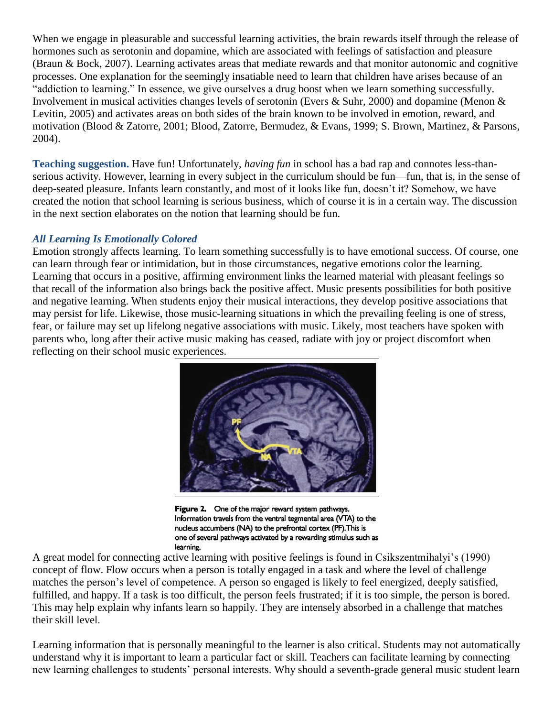When we engage in pleasurable and successful learning activities, the brain rewards itself through the release of hormones such as serotonin and dopamine, which are associated with feelings of satisfaction and pleasure (Braun & Bock, 2007). Learning activates areas that mediate rewards and that monitor autonomic and cognitive processes. One explanation for the seemingly insatiable need to learn that children have arises because of an "addiction to learning." In essence, we give ourselves a drug boost when we learn something successfully. Involvement in musical activities changes levels of serotonin (Evers & Suhr, 2000) and dopamine (Menon & Levitin, 2005) and activates areas on both sides of the brain known to be involved in emotion, reward, and motivation (Blood & Zatorre, 2001; Blood, Zatorre, Bermudez, & Evans, 1999; S. Brown, Martinez, & Parsons, 2004).

**Teaching suggestion.** Have fun! Unfortunately, *having fun* in school has a bad rap and connotes less-thanserious activity. However, learning in every subject in the curriculum should be fun—fun, that is, in the sense of deep-seated pleasure. Infants learn constantly, and most of it looks like fun, doesn't it? Somehow, we have created the notion that school learning is serious business, which of course it is in a certain way. The discussion in the next section elaborates on the notion that learning should be fun.

## *All Learning Is Emotionally Colored*

Emotion strongly affects learning. To learn something successfully is to have emotional success. Of course, one can learn through fear or intimidation, but in those circumstances, negative emotions color the learning. Learning that occurs in a positive, affirming environment links the learned material with pleasant feelings so that recall of the information also brings back the positive affect. Music presents possibilities for both positive and negative learning. When students enjoy their musical interactions, they develop positive associations that may persist for life. Likewise, those music-learning situations in which the prevailing feeling is one of stress, fear, or failure may set up lifelong negative associations with music. Likely, most teachers have spoken with parents who, long after their active music making has ceased, radiate with joy or project discomfort when reflecting on their school music experiences.



Figure 2. One of the major reward system pathways. Information travels from the ventral tegmental area (VTA) to the nucleus accumbens (NA) to the prefrontal cortex (PF). This is one of several pathways activated by a rewarding stimulus such as learning.

A great model for connecting active learning with positive feelings is found in Csikszentmihalyi's (1990) concept of flow. Flow occurs when a person is totally engaged in a task and where the level of challenge matches the person's level of competence. A person so engaged is likely to feel energized, deeply satisfied, fulfilled, and happy. If a task is too difficult, the person feels frustrated; if it is too simple, the person is bored. This may help explain why infants learn so happily. They are intensely absorbed in a challenge that matches their skill level.

Learning information that is personally meaningful to the learner is also critical. Students may not automatically understand why it is important to learn a particular fact or skill*.* Teachers can facilitate learning by connecting new learning challenges to students' personal interests. Why should a seventh-grade general music student learn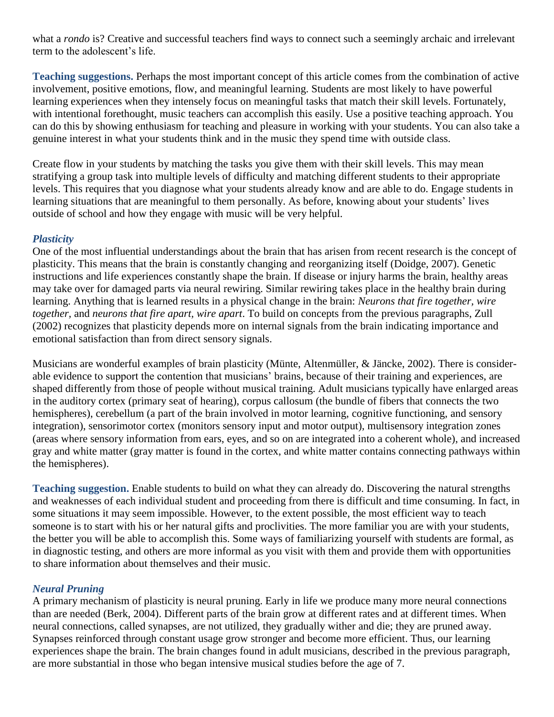what a *rondo* is? Creative and successful teachers find ways to connect such a seemingly archaic and irrelevant term to the adolescent's life.

**Teaching suggestions.** Perhaps the most important concept of this article comes from the combination of active involvement, positive emotions, flow, and meaningful learning. Students are most likely to have powerful learning experiences when they intensely focus on meaningful tasks that match their skill levels. Fortunately, with intentional forethought, music teachers can accomplish this easily. Use a positive teaching approach. You can do this by showing enthusiasm for teaching and pleasure in working with your students. You can also take a genuine interest in what your students think and in the music they spend time with outside class.

Create flow in your students by matching the tasks you give them with their skill levels. This may mean stratifying a group task into multiple levels of difficulty and matching different students to their appropriate levels. This requires that you diagnose what your students already know and are able to do. Engage students in learning situations that are meaningful to them personally. As before, knowing about your students' lives outside of school and how they engage with music will be very helpful.

### *Plasticity*

One of the most influential understandings about the brain that has arisen from recent research is the concept of plasticity. This means that the brain is constantly changing and reorganizing itself (Doidge, 2007). Genetic instructions and life experiences constantly shape the brain. If disease or injury harms the brain, healthy areas may take over for damaged parts via neural rewiring. Similar rewiring takes place in the healthy brain during learning. Anything that is learned results in a physical change in the brain: *Neurons that fire together, wire together,* and *neurons that fire apart, wire apart*. To build on concepts from the previous paragraphs, Zull (2002) recognizes that plasticity depends more on internal signals from the brain indicating importance and emotional satisfaction than from direct sensory signals.

Musicians are wonderful examples of brain plasticity (Münte, Altenmüller, & Jäncke, 2002). There is considerable evidence to support the contention that musicians' brains, because of their training and experiences, are shaped differently from those of people without musical training. Adult musicians typically have enlarged areas in the auditory cortex (primary seat of hearing), corpus callosum (the bundle of fibers that connects the two hemispheres), cerebellum (a part of the brain involved in motor learning, cognitive functioning, and sensory integration), sensorimotor cortex (monitors sensory input and motor output), multisensory integration zones (areas where sensory information from ears, eyes, and so on are integrated into a coherent whole), and increased gray and white matter (gray matter is found in the cortex, and white matter contains connecting pathways within the hemispheres).

**Teaching suggestion.** Enable students to build on what they can already do. Discovering the natural strengths and weaknesses of each individual student and proceeding from there is difficult and time consuming. In fact, in some situations it may seem impossible. However, to the extent possible, the most efficient way to teach someone is to start with his or her natural gifts and proclivities. The more familiar you are with your students, the better you will be able to accomplish this. Some ways of familiarizing yourself with students are formal, as in diagnostic testing, and others are more informal as you visit with them and provide them with opportunities to share information about themselves and their music.

## *Neural Pruning*

A primary mechanism of plasticity is neural pruning. Early in life we produce many more neural connections than are needed (Berk, 2004). Different parts of the brain grow at different rates and at different times. When neural connections, called synapses, are not utilized, they gradually wither and die; they are pruned away. Synapses reinforced through constant usage grow stronger and become more efficient. Thus, our learning experiences shape the brain. The brain changes found in adult musicians, described in the previous paragraph, are more substantial in those who began intensive musical studies before the age of 7.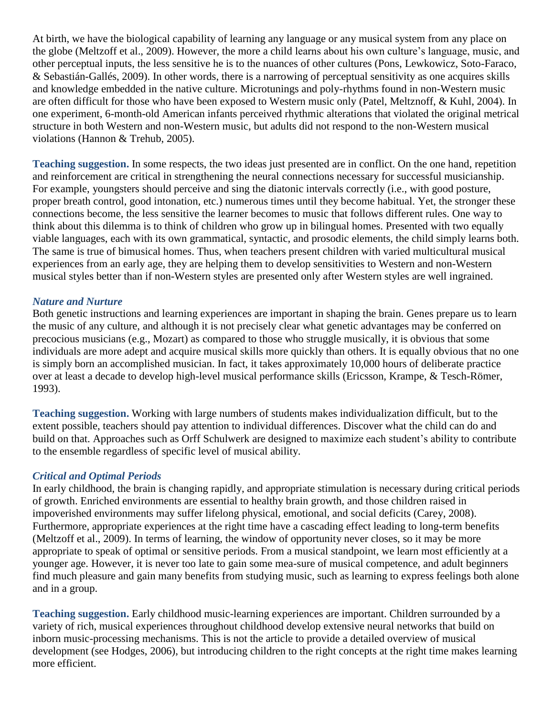At birth, we have the biological capability of learning any language or any musical system from any place on the globe (Meltzoff et al., 2009). However, the more a child learns about his own culture's language, music, and other perceptual inputs, the less sensitive he is to the nuances of other cultures (Pons, Lewkowicz, Soto-Faraco, & Sebastián-Gallés, 2009). In other words, there is a narrowing of perceptual sensitivity as one acquires skills and knowledge embedded in the native culture. Microtunings and poly-rhythms found in non-Western music are often difficult for those who have been exposed to Western music only (Patel, Meltznoff, & Kuhl, 2004). In one experiment, 6-month-old American infants perceived rhythmic alterations that violated the original metrical structure in both Western and non-Western music, but adults did not respond to the non-Western musical violations (Hannon & Trehub, 2005).

**Teaching suggestion.** In some respects, the two ideas just presented are in conflict. On the one hand, repetition and reinforcement are critical in strengthening the neural connections necessary for successful musicianship. For example, youngsters should perceive and sing the diatonic intervals correctly (i.e., with good posture, proper breath control, good intonation, etc.) numerous times until they become habitual. Yet, the stronger these connections become, the less sensitive the learner becomes to music that follows different rules. One way to think about this dilemma is to think of children who grow up in bilingual homes. Presented with two equally viable languages, each with its own grammatical, syntactic, and prosodic elements, the child simply learns both. The same is true of bimusical homes. Thus, when teachers present children with varied multicultural musical experiences from an early age, they are helping them to develop sensitivities to Western and non-Western musical styles better than if non-Western styles are presented only after Western styles are well ingrained.

### *Nature and Nurture*

Both genetic instructions and learning experiences are important in shaping the brain. Genes prepare us to learn the music of any culture, and although it is not precisely clear what genetic advantages may be conferred on precocious musicians (e.g., Mozart) as compared to those who struggle musically, it is obvious that some individuals are more adept and acquire musical skills more quickly than others. It is equally obvious that no one is simply born an accomplished musician. In fact, it takes approximately 10,000 hours of deliberate practice over at least a decade to develop high-level musical performance skills (Ericsson, Krampe, & Tesch-Römer, 1993).

**Teaching suggestion.** Working with large numbers of students makes individualization difficult, but to the extent possible, teachers should pay attention to individual differences. Discover what the child can do and build on that. Approaches such as Orff Schulwerk are designed to maximize each student's ability to contribute to the ensemble regardless of specific level of musical ability.

## *Critical and Optimal Periods*

In early childhood, the brain is changing rapidly, and appropriate stimulation is necessary during critical periods of growth. Enriched environments are essential to healthy brain growth, and those children raised in impoverished environments may suffer lifelong physical, emotional, and social deficits (Carey, 2008). Furthermore, appropriate experiences at the right time have a cascading effect leading to long-term benefits (Meltzoff et al., 2009). In terms of learning, the window of opportunity never closes, so it may be more appropriate to speak of optimal or sensitive periods. From a musical standpoint, we learn most efficiently at a younger age. However, it is never too late to gain some mea-sure of musical competence, and adult beginners find much pleasure and gain many benefits from studying music, such as learning to express feelings both alone and in a group.

**Teaching suggestion.** Early childhood music-learning experiences are important. Children surrounded by a variety of rich, musical experiences throughout childhood develop extensive neural networks that build on inborn music-processing mechanisms. This is not the article to provide a detailed overview of musical development (see Hodges, 2006), but introducing children to the right concepts at the right time makes learning more efficient.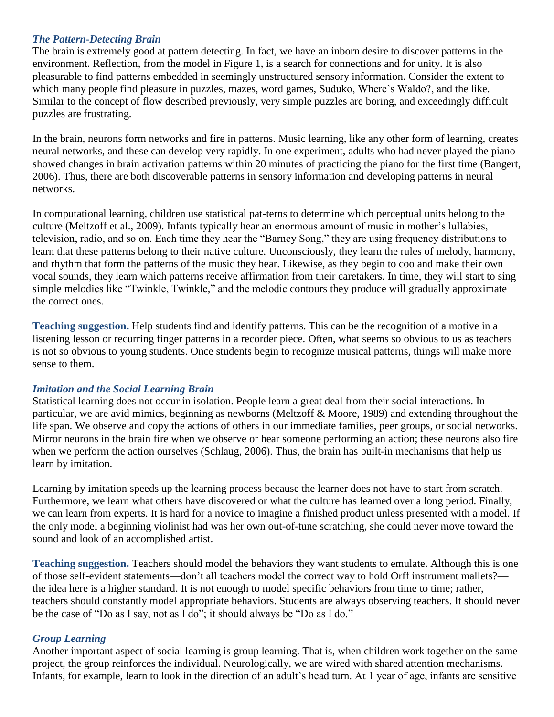### *The Pattern-Detecting Brain*

The brain is extremely good at pattern detecting. In fact, we have an inborn desire to discover patterns in the environment. Reflection, from the model in Figure 1, is a search for connections and for unity. It is also pleasurable to find patterns embedded in seemingly unstructured sensory information. Consider the extent to which many people find pleasure in puzzles, mazes, word games, Suduko, Where's Waldo?, and the like. Similar to the concept of flow described previously, very simple puzzles are boring, and exceedingly difficult puzzles are frustrating.

In the brain, neurons form networks and fire in patterns. Music learning, like any other form of learning, creates neural networks, and these can develop very rapidly. In one experiment, adults who had never played the piano showed changes in brain activation patterns within 20 minutes of practicing the piano for the first time (Bangert, 2006). Thus, there are both discoverable patterns in sensory information and developing patterns in neural networks.

In computational learning, children use statistical pat-terns to determine which perceptual units belong to the culture (Meltzoff et al., 2009). Infants typically hear an enormous amount of music in mother's lullabies, television, radio, and so on. Each time they hear the "Barney Song," they are using frequency distributions to learn that these patterns belong to their native culture. Unconsciously, they learn the rules of melody, harmony, and rhythm that form the patterns of the music they hear. Likewise, as they begin to coo and make their own vocal sounds, they learn which patterns receive affirmation from their caretakers. In time, they will start to sing simple melodies like "Twinkle, Twinkle," and the melodic contours they produce will gradually approximate the correct ones.

**Teaching suggestion.** Help students find and identify patterns. This can be the recognition of a motive in a listening lesson or recurring finger patterns in a recorder piece. Often, what seems so obvious to us as teachers is not so obvious to young students. Once students begin to recognize musical patterns, things will make more sense to them.

### *Imitation and the Social Learning Brain*

Statistical learning does not occur in isolation. People learn a great deal from their social interactions. In particular, we are avid mimics, beginning as newborns (Meltzoff & Moore, 1989) and extending throughout the life span. We observe and copy the actions of others in our immediate families, peer groups, or social networks. Mirror neurons in the brain fire when we observe or hear someone performing an action; these neurons also fire when we perform the action ourselves (Schlaug, 2006). Thus, the brain has built-in mechanisms that help us learn by imitation.

Learning by imitation speeds up the learning process because the learner does not have to start from scratch. Furthermore, we learn what others have discovered or what the culture has learned over a long period. Finally, we can learn from experts. It is hard for a novice to imagine a finished product unless presented with a model. If the only model a beginning violinist had was her own out-of-tune scratching, she could never move toward the sound and look of an accomplished artist.

**Teaching suggestion.** Teachers should model the behaviors they want students to emulate. Although this is one of those self-evident statements—don't all teachers model the correct way to hold Orff instrument mallets? the idea here is a higher standard. It is not enough to model specific behaviors from time to time; rather, teachers should constantly model appropriate behaviors. Students are always observing teachers. It should never be the case of "Do as I say, not as I do"; it should always be "Do as I do."

## *Group Learning*

Another important aspect of social learning is group learning. That is, when children work together on the same project, the group reinforces the individual. Neurologically, we are wired with shared attention mechanisms. Infants, for example, learn to look in the direction of an adult's head turn. At 1 year of age, infants are sensitive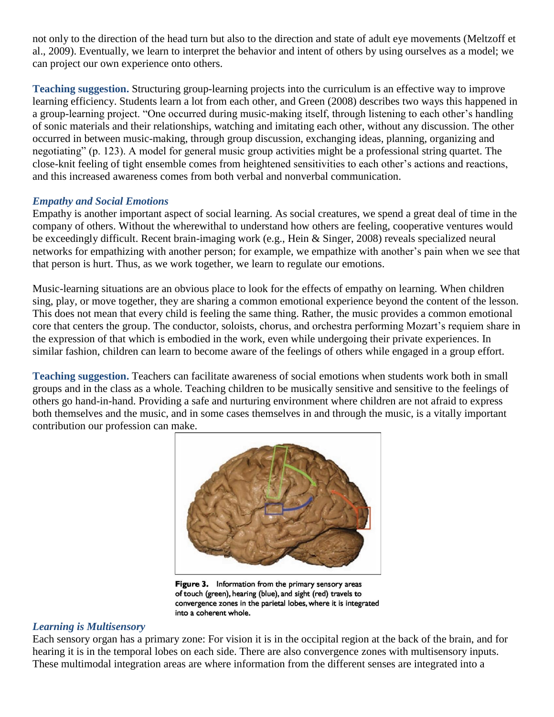not only to the direction of the head turn but also to the direction and state of adult eye movements (Meltzoff et al., 2009). Eventually, we learn to interpret the behavior and intent of others by using ourselves as a model; we can project our own experience onto others.

**Teaching suggestion.** Structuring group-learning projects into the curriculum is an effective way to improve learning efficiency. Students learn a lot from each other, and Green (2008) describes two ways this happened in a group-learning project. "One occurred during music-making itself, through listening to each other's handling of sonic materials and their relationships, watching and imitating each other, without any discussion. The other occurred in between music-making, through group discussion, exchanging ideas, planning, organizing and negotiating" (p. 123). A model for general music group activities might be a professional string quartet. The close-knit feeling of tight ensemble comes from heightened sensitivities to each other's actions and reactions, and this increased awareness comes from both verbal and nonverbal communication.

### *Empathy and Social Emotions*

Empathy is another important aspect of social learning. As social creatures, we spend a great deal of time in the company of others. Without the wherewithal to understand how others are feeling, cooperative ventures would be exceedingly difficult. Recent brain-imaging work (e.g., Hein & Singer, 2008) reveals specialized neural networks for empathizing with another person; for example, we empathize with another's pain when we see that that person is hurt. Thus, as we work together, we learn to regulate our emotions.

Music-learning situations are an obvious place to look for the effects of empathy on learning. When children sing, play, or move together, they are sharing a common emotional experience beyond the content of the lesson. This does not mean that every child is feeling the same thing. Rather, the music provides a common emotional core that centers the group. The conductor, soloists, chorus, and orchestra performing Mozart's requiem share in the expression of that which is embodied in the work, even while undergoing their private experiences. In similar fashion, children can learn to become aware of the feelings of others while engaged in a group effort.

**Teaching suggestion.** Teachers can facilitate awareness of social emotions when students work both in small groups and in the class as a whole. Teaching children to be musically sensitive and sensitive to the feelings of others go hand-in-hand. Providing a safe and nurturing environment where children are not afraid to express both themselves and the music, and in some cases themselves in and through the music, is a vitally important contribution our profession can make.



Figure 3. Information from the primary sensory areas of touch (green), hearing (blue), and sight (red) travels to convergence zones in the parietal lobes, where it is integrated into a coherent whole.

### *Learning is Multisensory*

Each sensory organ has a primary zone: For vision it is in the occipital region at the back of the brain, and for hearing it is in the temporal lobes on each side. There are also convergence zones with multisensory inputs. These multimodal integration areas are where information from the different senses are integrated into a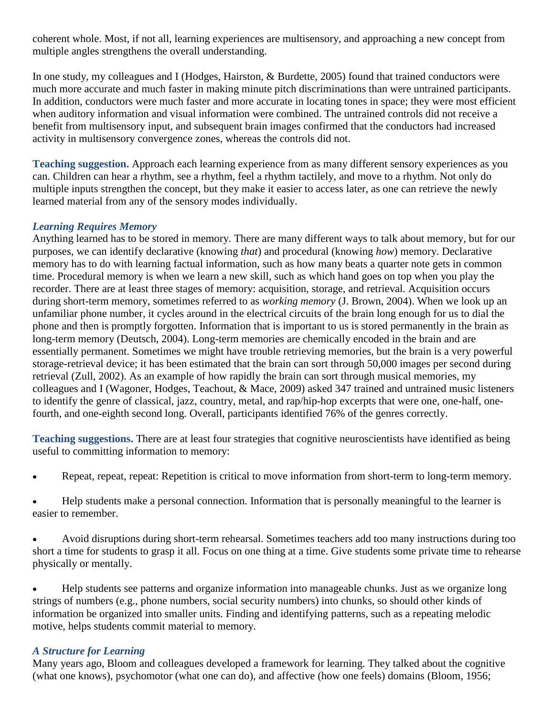coherent whole. Most, if not all, learning experiences are multisensory, and approaching a new concept from multiple angles strengthens the overall understanding.

In one study, my colleagues and I (Hodges, Hairston, & Burdette, 2005) found that trained conductors were much more accurate and much faster in making minute pitch discriminations than were untrained participants. In addition, conductors were much faster and more accurate in locating tones in space; they were most efficient when auditory information and visual information were combined. The untrained controls did not receive a benefit from multisensory input, and subsequent brain images confirmed that the conductors had increased activity in multisensory convergence zones, whereas the controls did not.

**Teaching suggestion.** Approach each learning experience from as many different sensory experiences as you can. Children can hear a rhythm, see a rhythm, feel a rhythm tactilely, and move to a rhythm. Not only do multiple inputs strengthen the concept, but they make it easier to access later, as one can retrieve the newly learned material from any of the sensory modes individually.

## *Learning Requires Memory*

Anything learned has to be stored in memory. There are many different ways to talk about memory, but for our purposes, we can identify declarative (knowing *that*) and procedural (knowing *how*) memory. Declarative memory has to do with learning factual information, such as how many beats a quarter note gets in common time. Procedural memory is when we learn a new skill, such as which hand goes on top when you play the recorder. There are at least three stages of memory: acquisition, storage, and retrieval. Acquisition occurs during short-term memory, sometimes referred to as *working memory* (J. Brown, 2004). When we look up an unfamiliar phone number, it cycles around in the electrical circuits of the brain long enough for us to dial the phone and then is promptly forgotten. Information that is important to us is stored permanently in the brain as long-term memory (Deutsch, 2004). Long-term memories are chemically encoded in the brain and are essentially permanent. Sometimes we might have trouble retrieving memories, but the brain is a very powerful storage-retrieval device; it has been estimated that the brain can sort through 50,000 images per second during retrieval (Zull, 2002). As an example of how rapidly the brain can sort through musical memories, my colleagues and I (Wagoner, Hodges, Teachout, & Mace, 2009) asked 347 trained and untrained music listeners to identify the genre of classical, jazz, country, metal, and rap/hip-hop excerpts that were one, one-half, onefourth, and one-eighth second long. Overall, participants identified 76% of the genres correctly.

**Teaching suggestions.** There are at least four strategies that cognitive neuroscientists have identified as being useful to committing information to memory:

Repeat, repeat, repeat: Repetition is critical to move information from short-term to long-term memory.

 Help students make a personal connection. Information that is personally meaningful to the learner is easier to remember.

 Avoid disruptions during short-term rehearsal. Sometimes teachers add too many instructions during too short a time for students to grasp it all. Focus on one thing at a time. Give students some private time to rehearse physically or mentally.

 Help students see patterns and organize information into manageable chunks. Just as we organize long strings of numbers (e.g., phone numbers, social security numbers) into chunks, so should other kinds of information be organized into smaller units. Finding and identifying patterns, such as a repeating melodic motive, helps students commit material to memory.

### *A Structure for Learning*

Many years ago, Bloom and colleagues developed a framework for learning. They talked about the cognitive (what one knows), psychomotor (what one can do), and affective (how one feels) domains (Bloom, 1956;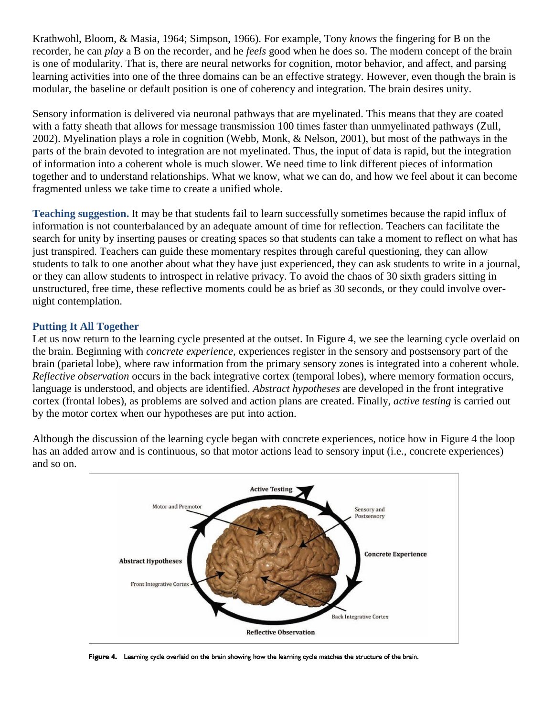Krathwohl, Bloom, & Masia, 1964; Simpson, 1966). For example, Tony *knows* the fingering for B on the recorder, he can *play* a B on the recorder, and he *feels* good when he does so. The modern concept of the brain is one of modularity. That is, there are neural networks for cognition, motor behavior, and affect, and parsing learning activities into one of the three domains can be an effective strategy. However, even though the brain is modular, the baseline or default position is one of coherency and integration. The brain desires unity.

Sensory information is delivered via neuronal pathways that are myelinated. This means that they are coated with a fatty sheath that allows for message transmission 100 times faster than unmyelinated pathways (Zull, 2002). Myelination plays a role in cognition (Webb, Monk, & Nelson, 2001), but most of the pathways in the parts of the brain devoted to integration are not myelinated. Thus, the input of data is rapid, but the integration of information into a coherent whole is much slower. We need time to link different pieces of information together and to understand relationships. What we know, what we can do, and how we feel about it can become fragmented unless we take time to create a unified whole.

**Teaching suggestion.** It may be that students fail to learn successfully sometimes because the rapid influx of information is not counterbalanced by an adequate amount of time for reflection. Teachers can facilitate the search for unity by inserting pauses or creating spaces so that students can take a moment to reflect on what has just transpired. Teachers can guide these momentary respites through careful questioning, they can allow students to talk to one another about what they have just experienced, they can ask students to write in a journal, or they can allow students to introspect in relative privacy. To avoid the chaos of 30 sixth graders sitting in unstructured, free time, these reflective moments could be as brief as 30 seconds, or they could involve overnight contemplation.

### **Putting It All Together**

Let us now return to the learning cycle presented at the outset. In Figure 4, we see the learning cycle overlaid on the brain. Beginning with *concrete experience,* experiences register in the sensory and postsensory part of the brain (parietal lobe), where raw information from the primary sensory zones is integrated into a coherent whole. *Reflective observation* occurs in the back integrative cortex (temporal lobes), where memory formation occurs, language is understood, and objects are identified. *Abstract hypotheses* are developed in the front integrative cortex (frontal lobes), as problems are solved and action plans are created. Finally, *active testing* is carried out by the motor cortex when our hypotheses are put into action.

Although the discussion of the learning cycle began with concrete experiences, notice how in Figure 4 the loop has an added arrow and is continuous, so that motor actions lead to sensory input (i.e., concrete experiences) and so on.



Figure 4. Learning cycle overlaid on the brain showing how the learning cycle matches the structure of the brain.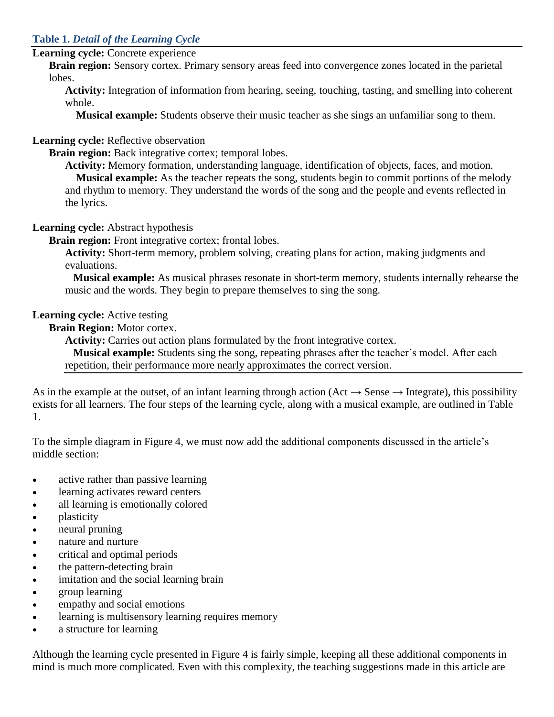## **Table 1.** *Detail of the Learning Cycle*

# Learning cycle: Concrete experience

**Brain region:** Sensory cortex. Primary sensory areas feed into convergence zones located in the parietal lobes.

**Activity:** Integration of information from hearing, seeing, touching, tasting, and smelling into coherent whole.

 **Musical example:** Students observe their music teacher as she sings an unfamiliar song to them.

### **Learning cycle:** Reflective observation

**Brain region:** Back integrative cortex; temporal lobes.

**Activity:** Memory formation, understanding language, identification of objects, faces, and motion.  **Musical example:** As the teacher repeats the song, students begin to commit portions of the melody and rhythm to memory. They understand the words of the song and the people and events reflected in the lyrics.

### **Learning cycle:** Abstract hypothesis

**Brain region:** Front integrative cortex; frontal lobes.

**Activity:** Short-term memory, problem solving, creating plans for action, making judgments and evaluations.

 **Musical example:** As musical phrases resonate in short-term memory, students internally rehearse the music and the words. They begin to prepare themselves to sing the song.

### **Learning cycle:** Active testing

**Brain Region:** Motor cortex.

**Activity:** Carries out action plans formulated by the front integrative cortex.

 **Musical example:** Students sing the song, repeating phrases after the teacher's model. After each repetition, their performance more nearly approximates the correct version.

As in the example at the outset, of an infant learning through action (Act  $\rightarrow$  Sense  $\rightarrow$  Integrate), this possibility exists for all learners. The four steps of the learning cycle, along with a musical example, are outlined in Table 1.

To the simple diagram in Figure 4, we must now add the additional components discussed in the article's middle section:

- active rather than passive learning
- learning activates reward centers
- all learning is emotionally colored
- plasticity
- neural pruning
- nature and nurture
- critical and optimal periods
- the pattern-detecting brain
- imitation and the social learning brain
- group learning
- empathy and social emotions
- learning is multisensory learning requires memory
- a structure for learning

Although the learning cycle presented in Figure 4 is fairly simple, keeping all these additional components in mind is much more complicated. Even with this complexity, the teaching suggestions made in this article are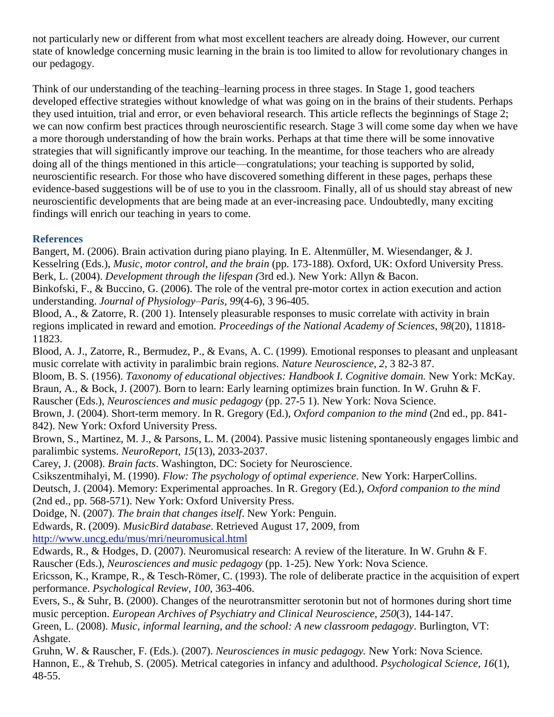not particularly new or different from what most excellent teachers are already doing. However, our current state of knowledge concerning music learning in the brain is too limited to allow for revolutionary changes in our pedagogy.

Think of our understanding of the teaching–learning process in three stages. In Stage 1, good teachers developed effective strategies without knowledge of what was going on in the brains of their students. Perhaps they used intuition, trial and error, or even behavioral research. This article reflects the beginnings of Stage 2; we can now confirm best practices through neuroscientific research. Stage 3 will come some day when we have a more thorough understanding of how the brain works. Perhaps at that time there will be some innovative strategies that will significantly improve our teaching. In the meantime, for those teachers who are already doing all of the things mentioned in this article—congratulations; your teaching is supported by solid, neuroscientific research. For those who have discovered something different in these pages, perhaps these evidence-based suggestions will be of use to you in the classroom. Finally, all of us should stay abreast of new neuroscientific developments that are being made at an ever-increasing pace. Undoubtedly, many exciting findings will enrich our teaching in years to come.

# **References**

Bangert, M. (2006). Brain activation during piano playing. In E. Altenmüller, M. Wiesendanger, & J. Kesselring (Eds.), *Music, motor control, and the brain* (pp. 173-188)*.* Oxford, UK: Oxford University Press. Berk, L. (2004). *Development through the lifespan (*3rd ed.). New York: Allyn & Bacon.

Binkofski, F., & Buccino, G. (2006). The role of the ventral pre-motor cortex in action execution and action understanding. *Journal of Physiology–Paris, 99*(4-6), 3 96-405.

Blood, A., & Zatorre, R. (200 1). Intensely pleasurable responses to music correlate with activity in brain regions implicated in reward and emotion. *Proceedings of the National Academy of Sciences*, *98*(20), 11818- 11823.

Blood, A. J., Zatorre, R., Bermudez, P., & Evans, A. C. (1999). Emotional responses to pleasant and unpleasant music correlate with activity in paralimbic brain regions. *Nature Neuroscience, 2,* 3 82-3 87.

Bloom, B. S. (1956). *Taxonomy of educational objectives: Handbook I. Cognitive domain.* New York: McKay. Braun, A., & Bock, J. (2007). Born to learn: Early learning optimizes brain function. In W. Gruhn & F.

Rauscher (Eds.), *Neurosciences and music pedagogy* (pp. 27-5 1). New York: Nova Science.

Brown, J. (2004). Short-term memory. In R. Gregory (Ed.), *Oxford companion to the mind* (2nd ed., pp. 841- 842). New York: Oxford University Press.

Brown, S., Martinez, M. J., & Parsons, L. M. (2004). Passive music listening spontaneously engages limbic and paralimbic systems. *NeuroReport, 15*(13), 2033-2037.

Carey, J. (2008). *Brain facts*. Washington, DC: Society for Neuroscience.

Csikszentmihalyi, M. (1990). *Flow: The psychology of optimal experience*. New York: HarperCollins.

Deutsch, J. (2004). Memory: Experimental approaches. In R. Gregory (Ed.), *Oxford companion to the mind* (2nd ed., pp. 568-571). New York: Oxford University Press.

Doidge, N. (2007). *The brain that changes itself*. New York: Penguin.

Edwards, R. (2009). *MusicBird database*. Retrieved August 17, 2009, from

<http://www.uncg.edu/mus/mri/neuromusical.html>

Edwards, R., & Hodges, D. (2007). Neuromusical research: A review of the literature. In W. Gruhn & F. Rauscher (Eds.), *Neurosciences and music pedagogy* (pp. 1-25). New York: Nova Science.

Ericsson, K., Krampe, R., & Tesch-Römer, C. (1993). The role of deliberate practice in the acquisition of expert performance. *Psychological Review, 100,* 363-406.

Evers, S., & Suhr, B. (2000). Changes of the neurotransmitter serotonin but not of hormones during short time music perception. *European Archives of Psychiatry and Clinical Neuroscience, 250*(3), 144-147.

Green, L. (2008). *Music, informal learning, and the school: A new classroom pedagogy*. Burlington, VT: Ashgate.

Gruhn, W. & Rauscher, F. (Eds.). (2007). *Neurosciences in music pedagogy.* New York: Nova Science. Hannon, E., & Trehub, S. (2005). Metrical categories in infancy and adulthood. *Psychological Science, 16*(1), 48-55.